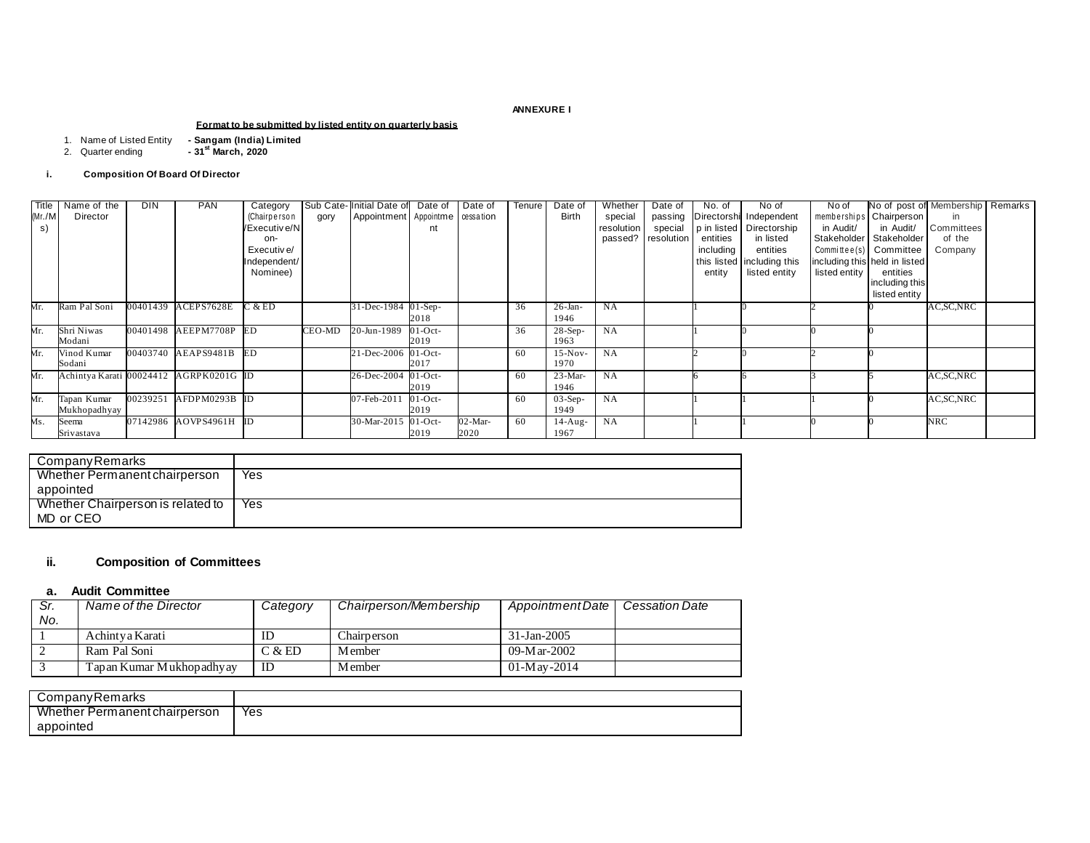#### **ANNEXURE I**

### **Format to be submitted by listed entity on quarterly basis**

1. Name of Listed Entity **- Sangam (India) Limited** 2. Quarter ending **- 31st March, 2020**

### **i. Composition Of Board Of Director**

| Title  | Name of the  | DIN      | PAN                                    | Category     |        | Sub Cate- Initial Date of      | Date of    | Date of | Tenure | Date of      | Whether    | Date of    | No. of    | No of                      | No of                  | No of post of Membership Remarks |             |  |
|--------|--------------|----------|----------------------------------------|--------------|--------|--------------------------------|------------|---------|--------|--------------|------------|------------|-----------|----------------------------|------------------------|----------------------------------|-------------|--|
| (Mr./M | Director     |          |                                        | (Chairperson | gory   | Appointment Appointme essation |            |         |        | <b>Birth</b> | special    | passing    |           | Directorshi Independent    |                        | memberships Chairperson          | in          |  |
| s)     |              |          |                                        | /Executive/N |        |                                | nt         |         |        |              | resolution | special    |           | p in listed   Directorship | in Audit/              | in Audit/                        | Committees  |  |
|        |              |          |                                        | on-          |        |                                |            |         |        |              | passed?    | resolution | entities  | in listed                  | Stakeholder            | Stakeholder                      | of the      |  |
|        |              |          |                                        | Executive/   |        |                                |            |         |        |              |            |            | including | entities                   | Committee(s) Committee |                                  | Company     |  |
|        |              |          |                                        | Independent/ |        |                                |            |         |        |              |            |            |           | this listed including this |                        | including this held in listed    |             |  |
|        |              |          |                                        | Nominee)     |        |                                |            |         |        |              |            |            | entity    | listed entity              | listed entity          | entities                         |             |  |
|        |              |          |                                        |              |        |                                |            |         |        |              |            |            |           |                            |                        | including this                   |             |  |
|        |              |          |                                        |              |        |                                |            |         |        |              |            |            |           |                            |                        | listed entity                    |             |  |
| Мr.    | Ram Pal Soni |          | 00401439 ACEPS7628E                    | 7 & ED       |        | $31 - Dec - 1984$ 01-Sep-      |            |         | 36     | $26$ -Jan-   | <b>NA</b>  |            |           |                            |                        |                                  | AC.SC.NRC   |  |
|        |              |          |                                        |              |        |                                | 2018       |         |        | 1946         |            |            |           |                            |                        |                                  |             |  |
| Mr.    | Shri Niwas   |          | 00401498 AEEPM7708P ED                 |              | CEO-MD | 20-Jun-1989                    | $01-Oct$ - |         | 36     | $28-Sep-$    | NA         |            |           |                            |                        |                                  |             |  |
|        | Modani       |          |                                        |              |        |                                | 2019       |         |        | 1963         |            |            |           |                            |                        |                                  |             |  |
| Mr.    | Vinod Kumar  |          | 00403740 AEAPS9481B                    | ED           |        | 21-Dec-2006                    | $01$ -Oct- |         | 60     | $15-Nov-$    | <b>NA</b>  |            |           |                            |                        |                                  |             |  |
|        | Sodani       |          |                                        |              |        |                                | 2017       |         |        | 1970         |            |            |           |                            |                        |                                  |             |  |
| Mr.    |              |          | Achintya Karati 00024412 AGRPK0201G ID |              |        | 26-Dec-2004                    | $01-Oct-$  |         | 60     | $23-Mar-$    | <b>NA</b>  |            |           |                            |                        |                                  | AC, SC, NRC |  |
|        |              |          |                                        |              |        |                                | 2019       |         |        | 1946         |            |            |           |                            |                        |                                  |             |  |
| Mr.    | Tapan Kumar  | 00239251 | AFDPM0293B ID                          |              |        | 07-Feb-2011                    | $01-Oct-$  |         | 60     | $03-Sep-$    | <b>NA</b>  |            |           |                            |                        |                                  | AC, SC, NRC |  |
|        | Mukhopadhyay |          |                                        |              |        |                                | 2019       |         |        | 1949         |            |            |           |                            |                        |                                  |             |  |
| Ms.    | Seema        |          | 07142986 AOVPS4961H                    | - ID         |        | 30-Mar-2015                    | $01-Oct-$  | 02-Mar- | 60     | 14-Aug-      | NA         |            |           |                            |                        |                                  | <b>NRC</b>  |  |
|        | Srivastava   |          |                                        |              |        |                                | 2019       | 2020    |        | 1967         |            |            |           |                            |                        |                                  |             |  |

| CompanyRemarks                    |     |
|-----------------------------------|-----|
| Whether Permanent chairperson     | Yes |
| appointed                         |     |
| Whether Chairperson is related to | Yes |
| MD or CEO                         |     |

# **ii. Composition of Committees**

# **a. Audit Committee**

| Sr. | Name of the Director     | Category | Chairperson/Membership | Appointment Date  | <b>Cessation Date</b> |
|-----|--------------------------|----------|------------------------|-------------------|-----------------------|
| No. |                          |          |                        |                   |                       |
|     | Achintya Karati          | ID       | Chairperson            | $31 - Jan - 2005$ |                       |
|     | Ram Pal Soni             | C & E D  | M ember                | 09-M ar-2002      |                       |
|     | Tapan Kumar Mukhopadhyay | ID       | M ember                | 01-May-2014       |                       |

| CompanyRemarks                |     |
|-------------------------------|-----|
| Whether Permanent chairperson | Yes |
| appointed                     |     |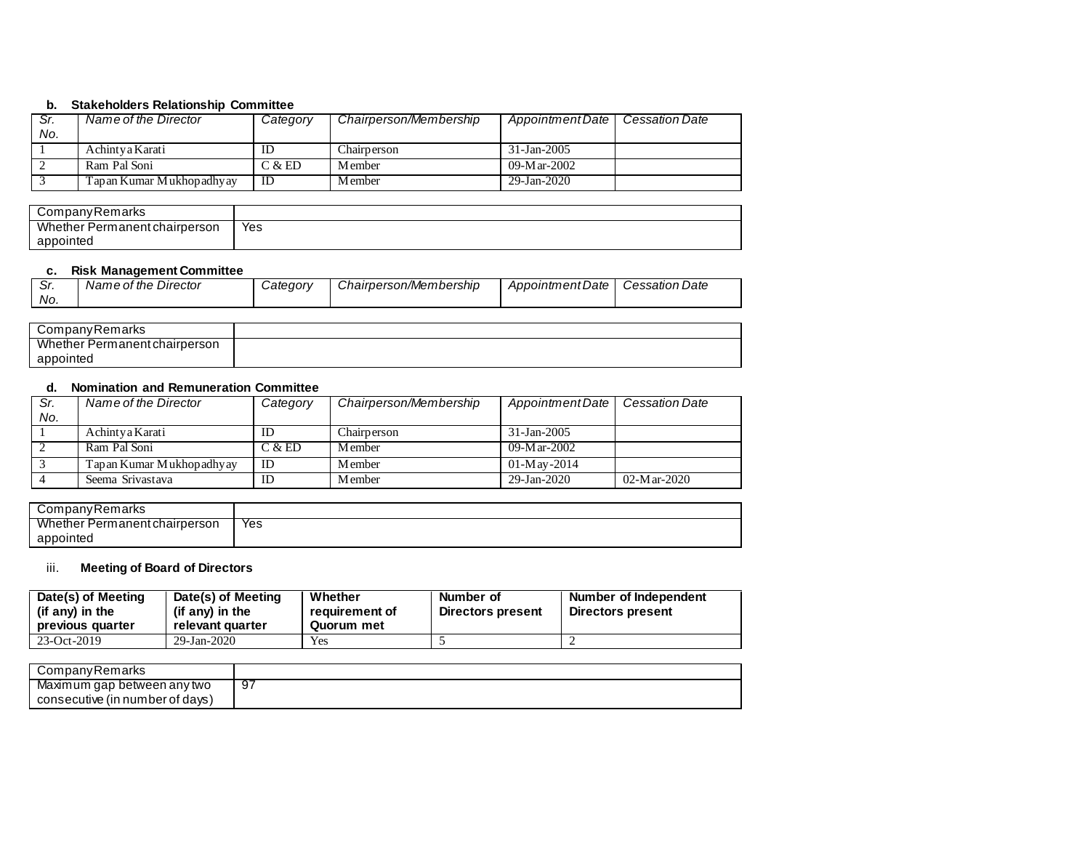# **b. Stakeholders Relationship Committee**

| Sr.<br>No. | Name of the Director     | Category | Chairperson/Membership | Appointment Date  | Cessation Date |
|------------|--------------------------|----------|------------------------|-------------------|----------------|
|            | Achintya Karati          | ID       | Chairperson            | $31 - Jan - 2005$ |                |
|            | Ram Pal Soni             | C & E D  | M ember                | 09-M ar-2002      |                |
|            | Tapan Kumar Mukhopadhyay | ID       | M ember                | 29-Jan-2020       |                |

| CompanyRemarks                |     |
|-------------------------------|-----|
| Whether Permanent chairperson | Yes |
| appointed                     |     |

# **c. Risk Management Committee**

| <b>n</b> .,<br>، اب | Name of the Director | <i>Category</i> | Chairperson/Membership | . .<br>Appointment Date | <i><b>Cessation Date</b></i> |
|---------------------|----------------------|-----------------|------------------------|-------------------------|------------------------------|
| No.                 |                      |                 |                        |                         |                              |

| CompanyRemarks                |  |
|-------------------------------|--|
| Whether Permanent chairperson |  |
| appointed                     |  |

# **d. Nomination and Remuneration Committee**

| Sr. | Name of the Director     | Category | Chairperson/Membership | Appointment Date  | <b>Cessation Date</b> |
|-----|--------------------------|----------|------------------------|-------------------|-----------------------|
| No. |                          |          |                        |                   |                       |
|     | Achintya Karati          | ID       | Chairperson            | 31-Jan-2005       |                       |
|     | Ram Pal Soni             | C & ED   | M ember                | 09-M ar-2002      |                       |
|     | Tapan Kumar Mukhopadhyay | ID       | M ember                | $01-M$ ay $-2014$ |                       |
|     | Seema Srivastava         | ID       | <b>M</b> ember         | $29 - Jan - 2020$ | 02-M ar-2020          |

| CompanyRemarks                |     |
|-------------------------------|-----|
| Whether Permanent chairperson | Yes |
| appointed                     |     |

# iii. **Meeting of Board of Directors**

| Date(s) of Meeting<br>(if any) in the<br>previous quarter | Date(s) of Meeting<br>(if any) in the<br>relevant quarter | Whether<br>reauirement of<br>Quorum met | Number of<br>Directors present | Number of Independent<br>Directors present |
|-----------------------------------------------------------|-----------------------------------------------------------|-----------------------------------------|--------------------------------|--------------------------------------------|
| 23-Oct-2019                                               | 29-Jan-2020                                               | Yes                                     |                                |                                            |

| CompanyRemarks                  |     |
|---------------------------------|-----|
| Maximum gap between any two     | -97 |
| consecutive (in number of days) |     |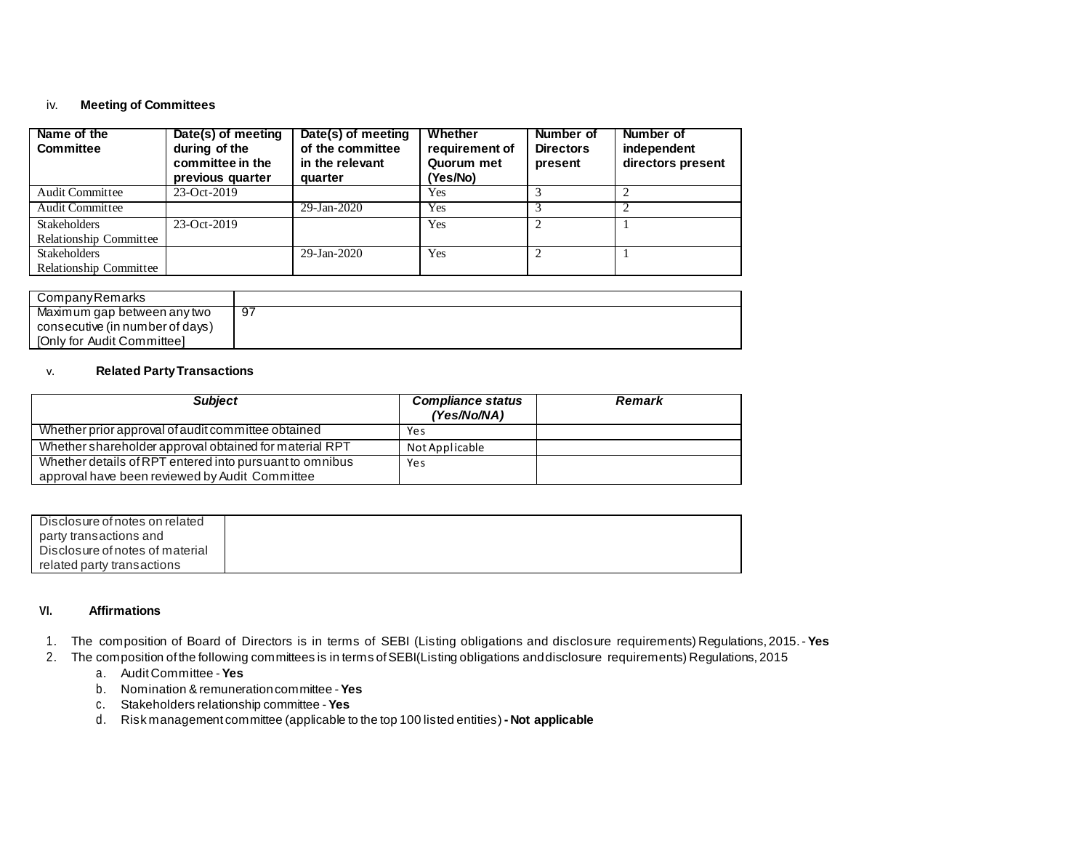### iv. **Meeting of Committees**

| Name of the<br><b>Committee</b> | Date(s) of meeting<br>during of the<br>committee in the<br>previous quarter | Date(s) of meeting<br>of the committee<br>in the relevant<br>quarter | Whether<br>requirement of<br>Quorum met<br>(Yes/No) | Number of<br><b>Directors</b><br>present | Number of<br>independent<br>directors present |
|---------------------------------|-----------------------------------------------------------------------------|----------------------------------------------------------------------|-----------------------------------------------------|------------------------------------------|-----------------------------------------------|
| <b>Audit Committee</b>          | 23-Oct-2019                                                                 |                                                                      | Yes                                                 |                                          |                                               |
| <b>Audit Committee</b>          |                                                                             | 29-Jan-2020                                                          | Yes                                                 |                                          |                                               |
| <b>Stakeholders</b>             | 23-Oct-2019                                                                 |                                                                      | Yes                                                 | 2                                        |                                               |
| <b>Relationship Committee</b>   |                                                                             |                                                                      |                                                     |                                          |                                               |
| <b>Stakeholders</b>             |                                                                             | 29-Jan-2020                                                          | Yes                                                 | $\gamma$                                 |                                               |
| <b>Relationship Committee</b>   |                                                                             |                                                                      |                                                     |                                          |                                               |

| CompanyRemarks                  |    |
|---------------------------------|----|
| Maximum gap between any two     | 97 |
| consecutive (in number of days) |    |
| [Only for Audit Committee]      |    |

### v. **Related PartyTransactions**

| <b>Subject</b>                                          | <b>Compliance status</b><br>(Yes/No/NA) | Remark |
|---------------------------------------------------------|-----------------------------------------|--------|
| Whether prior approval of audit committee obtained      | Yes                                     |        |
| Whether shareholder approval obtained for material RPT  | Not Applicable                          |        |
| Whether details of RPT entered into pursuant to omnibus | Yes                                     |        |
| approval have been reviewed by Audit Committee          |                                         |        |

| Disclosure of notes on related  |  |
|---------------------------------|--|
| party transactions and          |  |
| Disclosure of notes of material |  |
| related party transactions      |  |

#### **VI. Affirmations**

- 1. The composition of Board of Directors is in terms of SEBI (Listing obligations and disclosure requirements) Regulations, 2015. **Yes**
- 2. The composition of the following committees is in terms of SEBI(Listing obligations and disclosure requirements) Regulations, 2015
	- a. Audit Committee **Yes**
	- b. Nomination & remunerationcommittee **Yes**
	- c. Stakeholders relationship committee **Yes**
	- d. Risk management committee (applicable to the top 100 listed entities) **- Not applicable**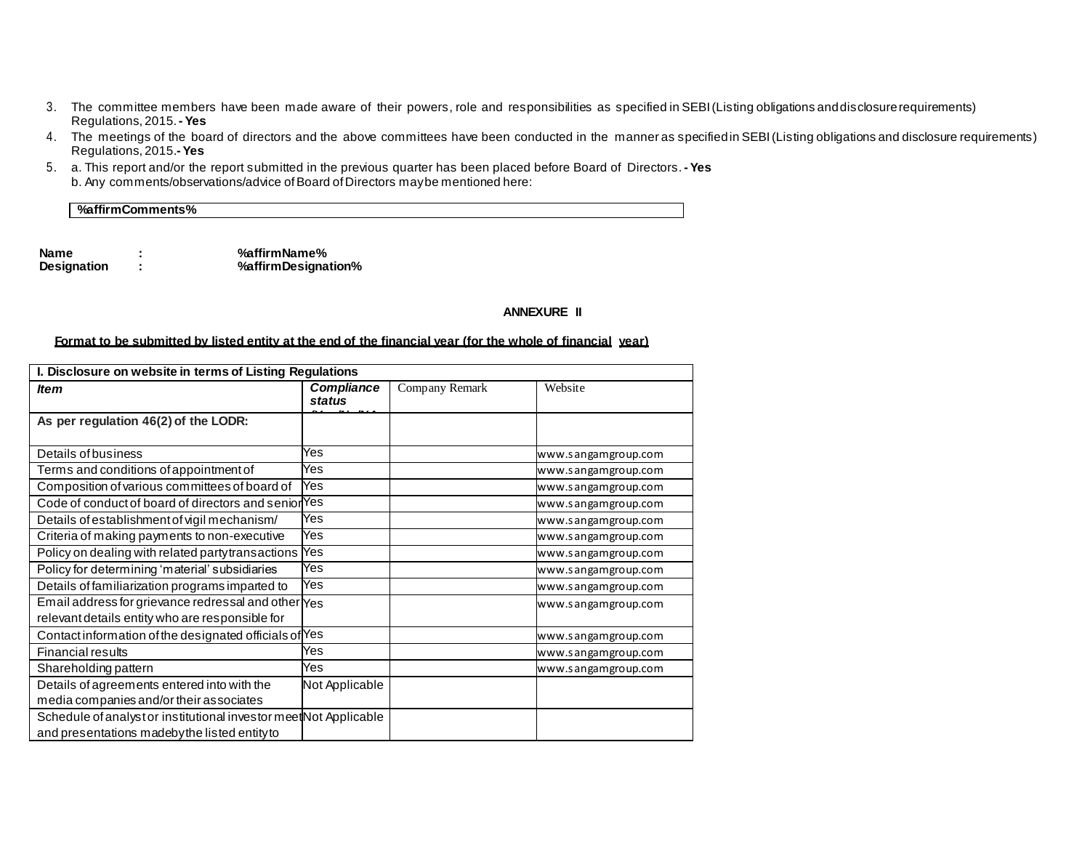- 3. The committee members have been made aware of their powers, role and responsibilities as specified in SEBI(Listing obligations anddisclosurerequirements) Regulations, 2015. **- Yes**
- 4. The meetings of the board of directors and the above committees have been conducted in the manner as specified in SEBI (Listing obligations and disclosure requirements) Regulations, 2015.**- Yes**
- 5. a. This report and/or the report submitted in the previous quarter has been placed before Board of Directors.**- Yes** b. Any comments/observations/advice of Board of Directors may be mentioned here:

**%affirmComments%**

**Name : %affirmName% Designation : %affirmDesignation%**

### **ANNEXURE II**

### Format to be submitted by listed entity at the end of the financial year (for the whole of financial year)

| I. Disclosure on website in terms of Listing Regulations         |                             |                |                     |  |  |
|------------------------------------------------------------------|-----------------------------|----------------|---------------------|--|--|
| <b>Item</b>                                                      | <b>Compliance</b><br>status | Company Remark | Website             |  |  |
| As per regulation 46(2) of the LODR:                             |                             |                |                     |  |  |
| Details of business                                              | Yes                         |                | www.sangamgroup.com |  |  |
| Terms and conditions of appointment of                           | Yes                         |                | www.sangamgroup.com |  |  |
| Composition of various committees of board of                    | Yes                         |                | www.sangamgroup.com |  |  |
| Code of conduct of board of directors and senior <sup>Yes</sup>  |                             |                | www.sangamgroup.com |  |  |
| Details of establishment of vigil mechanism/                     | Yes                         |                | www.sangamgroup.com |  |  |
| Criteria of making payments to non-executive                     | Yes                         |                | www.sangamgroup.com |  |  |
| Policy on dealing with related party transactions                | Yes                         |                | www.sangamgroup.com |  |  |
| Policy for determining 'material' subsidiaries                   | Yes                         |                | www.sangamgroup.com |  |  |
| Details of familiarization programs imparted to                  | Yes                         |                | www.sangamgroup.com |  |  |
| Email address for grievance redressal and other $\gamma_{es}$    |                             |                | www.sangamgroup.com |  |  |
| relevant details entity who are responsible for                  |                             |                |                     |  |  |
| Contact information of the designated officials of Yes           |                             |                | www.sangamgroup.com |  |  |
| <b>Financial results</b>                                         | Yes                         |                | www.sangamgroup.com |  |  |
| Shareholding pattern                                             | Yes                         |                | www.sangamgroup.com |  |  |
| Details of agreements entered into with the                      | Not Applicable              |                |                     |  |  |
| media companies and/or their associates                          |                             |                |                     |  |  |
| Schedule of analystor institutional investor meet Not Applicable |                             |                |                     |  |  |
| and presentations madeby the listed entity to                    |                             |                |                     |  |  |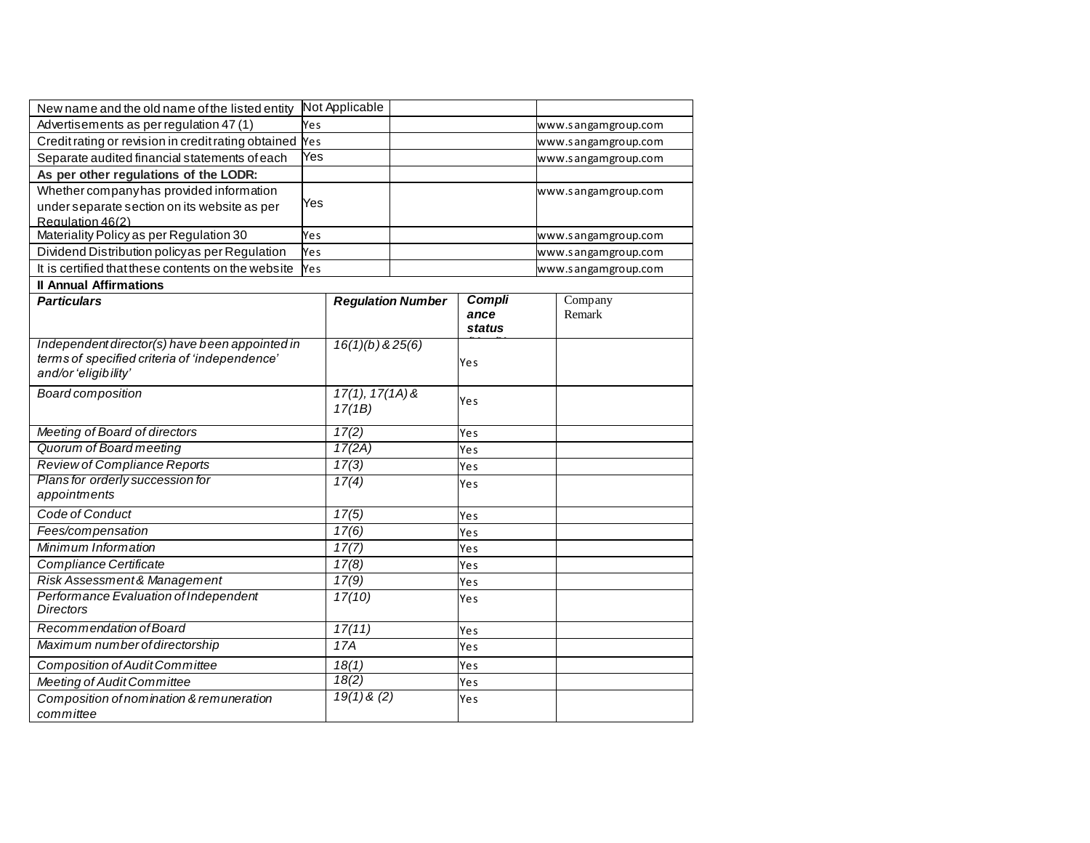| New name and the old name of the listed entity                                                  |                   | Not Applicable       |                          |        |                     |
|-------------------------------------------------------------------------------------------------|-------------------|----------------------|--------------------------|--------|---------------------|
| Advertisements as per regulation 47(1)<br>Yes                                                   |                   |                      |                          |        | www.sangamgroup.com |
| Credit rating or revision in credit rating obtained<br>Yes                                      |                   |                      |                          |        | www.sangamgroup.com |
| Separate audited financial statements of each<br>Yes                                            |                   |                      |                          |        | www.sangamgroup.com |
| As per other regulations of the LODR:                                                           |                   |                      |                          |        |                     |
| Whether companyhas provided information                                                         |                   |                      |                          |        | www.sangamgroup.com |
| under separate section on its website as per                                                    | Yes               |                      |                          |        |                     |
| Regulation 46(2)                                                                                |                   |                      |                          |        |                     |
| Materiality Policy as per Regulation 30                                                         | Yes               |                      |                          |        | www.sangamgroup.com |
| Dividend Distribution policy as per Regulation                                                  | Yes               |                      |                          |        | www.sangamgroup.com |
| It is certified that these contents on the website                                              | Yes               |                      |                          |        | www.sangamgroup.com |
| <b>Il Annual Affirmations</b>                                                                   |                   |                      |                          |        |                     |
| <b>Particulars</b>                                                                              |                   |                      | <b>Regulation Number</b> | Compli | Company             |
|                                                                                                 |                   |                      |                          | ance   | Remark              |
|                                                                                                 |                   |                      |                          | status |                     |
| Independent director(s) have been appointed in<br>terms of specified criteria of 'independence' |                   | $16(1)(b)$ & $25(6)$ |                          |        |                     |
| and/or 'eligibility'                                                                            |                   |                      |                          | Yes    |                     |
|                                                                                                 |                   |                      |                          |        |                     |
| <b>Board composition</b>                                                                        | $17(1), 17(1A)$ & |                      | Yes                      |        |                     |
|                                                                                                 |                   | 17(1B)               |                          |        |                     |
| Meeting of Board of directors                                                                   |                   | 17(2)                |                          | Yes    |                     |
| Quorum of Board meeting                                                                         |                   | 17(2A)               |                          | Yes    |                     |
| <b>Review of Compliance Reports</b>                                                             |                   | 17(3)                |                          | Yes    |                     |
| Plans for orderly succession for                                                                |                   | 17(4)                |                          | Yes    |                     |
| appointments                                                                                    |                   |                      |                          |        |                     |
| Code of Conduct                                                                                 |                   | 17(5)                |                          | Yes    |                     |
| Fees/compensation                                                                               |                   | 17(6)                |                          | Yes    |                     |
| Minimum Information                                                                             |                   | 17(7)                |                          | Yes    |                     |
| Compliance Certificate                                                                          |                   | 17(8)                |                          | Yes    |                     |
| Risk Assessment & Management                                                                    |                   | 17(9)                |                          | Yes    |                     |
| Performance Evaluation of Independent                                                           |                   | 17(10)               |                          | Yes    |                     |
| <b>Directors</b>                                                                                |                   |                      |                          |        |                     |
| Recommendation of Board                                                                         |                   | 17(11)               |                          | Yes    |                     |
| Maximum number of directorship                                                                  |                   | 17A                  |                          | Yes    |                     |
| <b>Composition of Audit Committee</b>                                                           |                   | 18(1)                |                          | Yes    |                     |
| Meeting of Audit Committee                                                                      |                   | 18(2)                |                          | Yes    |                     |
| Composition of nomination & remuneration                                                        |                   | $19(1)$ & (2)        |                          | Yes    |                     |
| committee                                                                                       |                   |                      |                          |        |                     |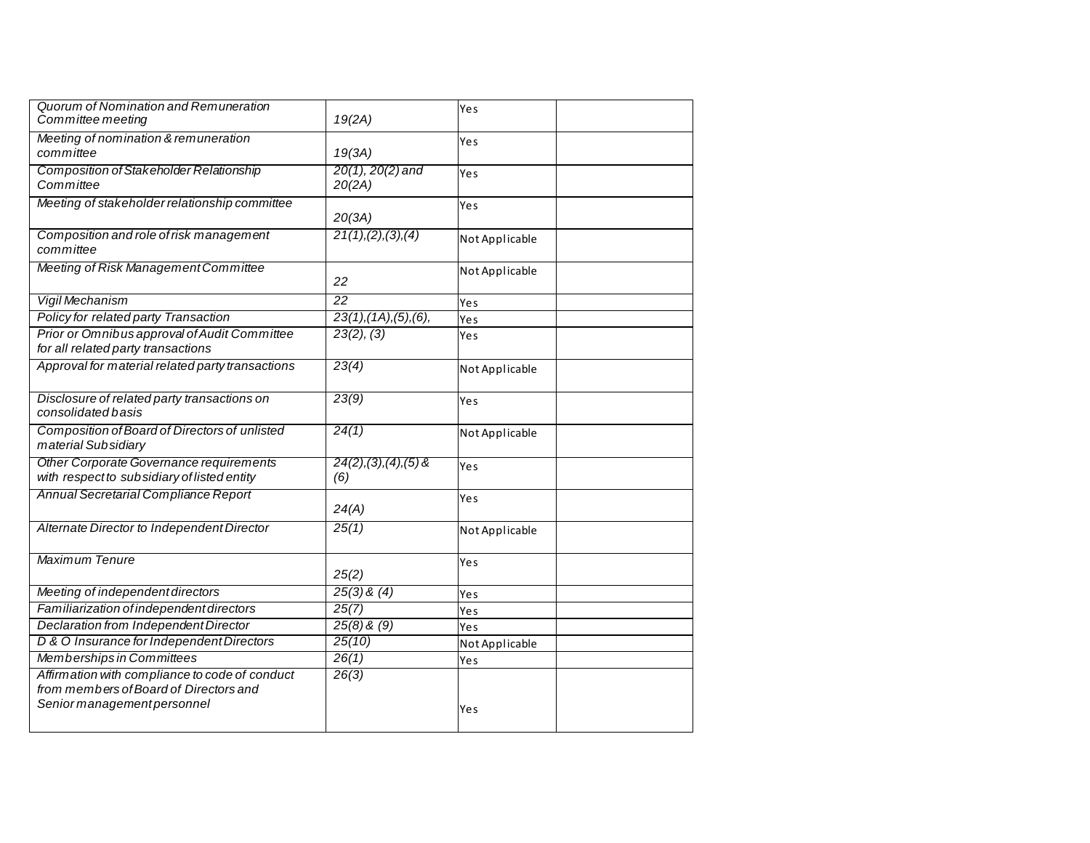| Quorum of Nomination and Remuneration<br>Committee meeting                                                              | 19(2A)                          | Yes            |
|-------------------------------------------------------------------------------------------------------------------------|---------------------------------|----------------|
| Meeting of nomination & remuneration<br>committee                                                                       | 19(3A)                          | Yes            |
| Composition of Stakeholder Relationship<br>Committee                                                                    | 20(1), 20(2) and<br>20(2A)      | Yes            |
| Meeting of stakeholder relationship committee                                                                           | 20(3A)                          | Yes            |
| Composition and role of risk management<br>committee                                                                    | 21(1), (2), (3), (4)            | Not Applicable |
| Meeting of Risk Management Committee                                                                                    | 22                              | Not Applicable |
| Vigil Mechanism                                                                                                         | $\overline{22}$                 | Yes            |
| Policy for related party Transaction                                                                                    | 23(1), (1A), (5), (6),          | Yes            |
| Prior or Omnibus approval of Audit Committee<br>for all related party transactions                                      | 23(2), (3)                      | Yes            |
| Approval for material related party transactions                                                                        | 23(4)                           | Not Applicable |
| Disclosure of related party transactions on<br>consolidated basis                                                       | 23(9)                           | Yes            |
| Composition of Board of Directors of unlisted<br>material Subsidiary                                                    | 24(1)                           | Not Applicable |
| Other Corporate Governance requirements<br>with respect to subsidiary of listed entity                                  | $24(2), (3), (4), (5)$ &<br>(6) | Yes            |
| Annual Secretarial Compliance Report                                                                                    | 24(A)                           | Yes            |
| Alternate Director to Independent Director                                                                              | 25(1)                           | Not Applicable |
| <b>Maximum Tenure</b>                                                                                                   | 25(2)                           | Yes            |
| Meeting of independent directors                                                                                        | $25(3)$ & $(4)$                 | Yes            |
| Familiarization of independent directors                                                                                | 25(7)                           | Yes            |
| Declaration from Independent Director                                                                                   | $25(8)$ & $(9)$                 | Yes            |
| D & O Insurance for Independent Directors                                                                               | 25(10)                          | Not Applicable |
| Memberships in Committees                                                                                               | 26(1)                           | Yes            |
| Affirmation with compliance to code of conduct<br>from members of Board of Directors and<br>Senior management personnel | 26(3)                           | Yes            |